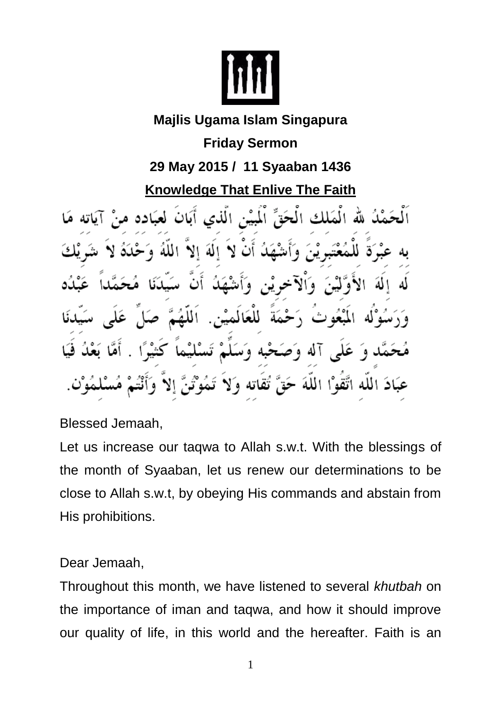

## **Majlis Ugama Islam Singapura**

## **Friday Sermon 29 May 2015 / 11 Syaaban 1436**

## **Knowledge That Enlive The Faith**

بَیْنِ الّٰذی أَبَانَ لَعَبَ Ú الملاق للَّه الحق الم á للعًا اللة

Blessed Jemaah,

Let us increase our taqwa to Allah s.w.t. With the blessings of the month of Syaaban, let us renew our determinations to be close to Allah s.w.t, by obeying His commands and abstain from His prohibitions.

## Dear Jemaah,

Throughout this month, we have listened to several *khutbah* on the importance of iman and taqwa, and how it should improve our quality of life, in this world and the hereafter. Faith is an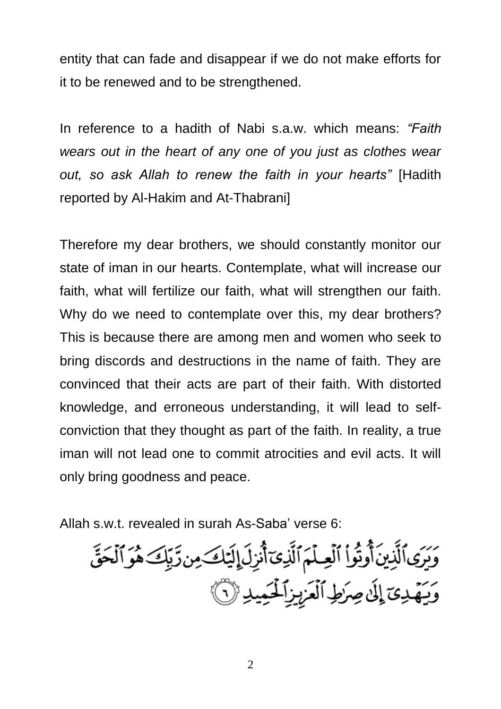entity that can fade and disappear if we do not make efforts for it to be renewed and to be strengthened.

In reference to a hadith of Nabi s.a.w. which means: *"Faith wears out in the heart of any one of you just as clothes wear out, so ask Allah to renew the faith in your hearts"* [Hadith reported by Al-Hakim and At-Thabrani]

Therefore my dear brothers, we should constantly monitor our state of iman in our hearts. Contemplate, what will increase our faith, what will fertilize our faith, what will strengthen our faith. Why do we need to contemplate over this, my dear brothers? This is because there are among men and women who seek to bring discords and destructions in the name of faith. They are convinced that their acts are part of their faith. With distorted knowledge, and erroneous understanding, it will lead to selfconviction that they thought as part of the faith. In reality, a true iman will not lead one to commit atrocities and evil acts. It will only bring goodness and peace.

Allah s.w.t. revealed in surah As-Saba' verse 6:

وَيَرَى ٱلَّذِينَ أُوتُواْ ٱلْعِلْمَ ٱلَّذِىٓ أُنْزِلَ إِلَيۡكَ مِن رَّبِّكَ هُوَ ٱلۡحَقِّ<br>وَيَهۡدِىٓ إِلَىٰ صِرَطِ ٱلۡعَزِيزِ ٱلۡحَيۡدِ ۚ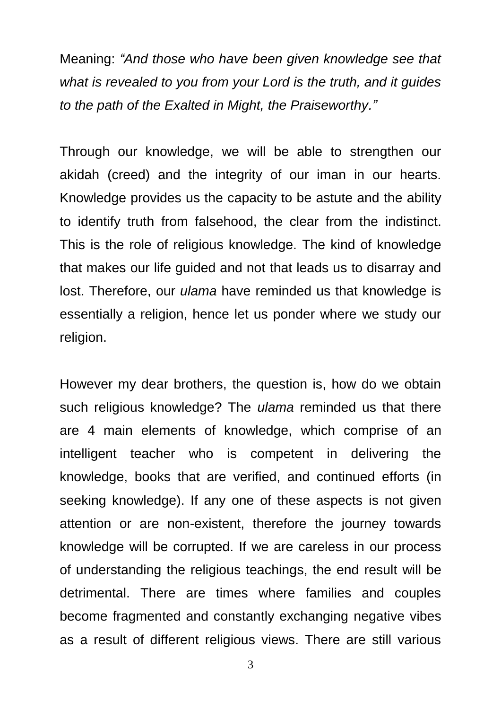Meaning: *"And those who have been given knowledge see that what is revealed to you from your Lord is the truth, and it guides to the path of the Exalted in Might, the Praiseworthy."*

Through our knowledge, we will be able to strengthen our akidah (creed) and the integrity of our iman in our hearts. Knowledge provides us the capacity to be astute and the ability to identify truth from falsehood, the clear from the indistinct. This is the role of religious knowledge. The kind of knowledge that makes our life guided and not that leads us to disarray and lost. Therefore, our *ulama* have reminded us that knowledge is essentially a religion, hence let us ponder where we study our religion.

However my dear brothers, the question is, how do we obtain such religious knowledge? The *ulama* reminded us that there are 4 main elements of knowledge, which comprise of an intelligent teacher who is competent in delivering the knowledge, books that are verified, and continued efforts (in seeking knowledge). If any one of these aspects is not given attention or are non-existent, therefore the journey towards knowledge will be corrupted. If we are careless in our process of understanding the religious teachings, the end result will be detrimental. There are times where families and couples become fragmented and constantly exchanging negative vibes as a result of different religious views. There are still various

3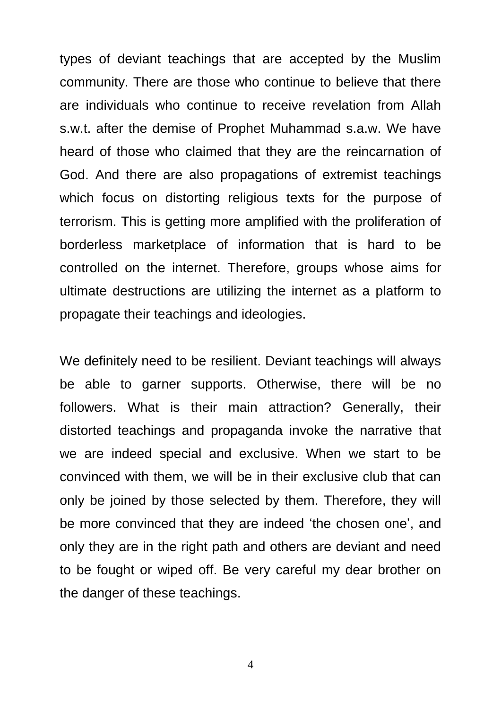types of deviant teachings that are accepted by the Muslim community. There are those who continue to believe that there are individuals who continue to receive revelation from Allah s.w.t. after the demise of Prophet Muhammad s.a.w. We have heard of those who claimed that they are the reincarnation of God. And there are also propagations of extremist teachings which focus on distorting religious texts for the purpose of terrorism. This is getting more amplified with the proliferation of borderless marketplace of information that is hard to be controlled on the internet. Therefore, groups whose aims for ultimate destructions are utilizing the internet as a platform to propagate their teachings and ideologies.

We definitely need to be resilient. Deviant teachings will always be able to garner supports. Otherwise, there will be no followers. What is their main attraction? Generally, their distorted teachings and propaganda invoke the narrative that we are indeed special and exclusive. When we start to be convinced with them, we will be in their exclusive club that can only be joined by those selected by them. Therefore, they will be more convinced that they are indeed 'the chosen one', and only they are in the right path and others are deviant and need to be fought or wiped off. Be very careful my dear brother on the danger of these teachings.

4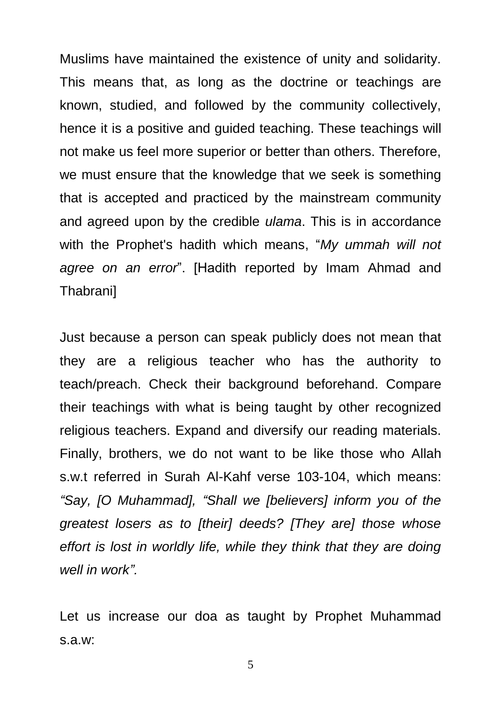Muslims have maintained the existence of unity and solidarity. This means that, as long as the doctrine or teachings are known, studied, and followed by the community collectively, hence it is a positive and guided teaching. These teachings will not make us feel more superior or better than others. Therefore, we must ensure that the knowledge that we seek is something that is accepted and practiced by the mainstream community and agreed upon by the credible *ulama*. This is in accordance with the Prophet's hadith which means, "*My ummah will not agree on an error*". [Hadith reported by Imam Ahmad and Thabrani]

Just because a person can speak publicly does not mean that they are a religious teacher who has the authority to teach/preach. Check their background beforehand. Compare their teachings with what is being taught by other recognized religious teachers. Expand and diversify our reading materials. Finally, brothers, we do not want to be like those who Allah s.w.t referred in Surah Al-Kahf verse 103-104, which means: *"Say, [O Muhammad], "Shall we [believers] inform you of the greatest losers as to [their] deeds? [They are] those whose effort is lost in worldly life, while they think that they are doing well in work".*

Let us increase our doa as taught by Prophet Muhammad s.a.w:

5